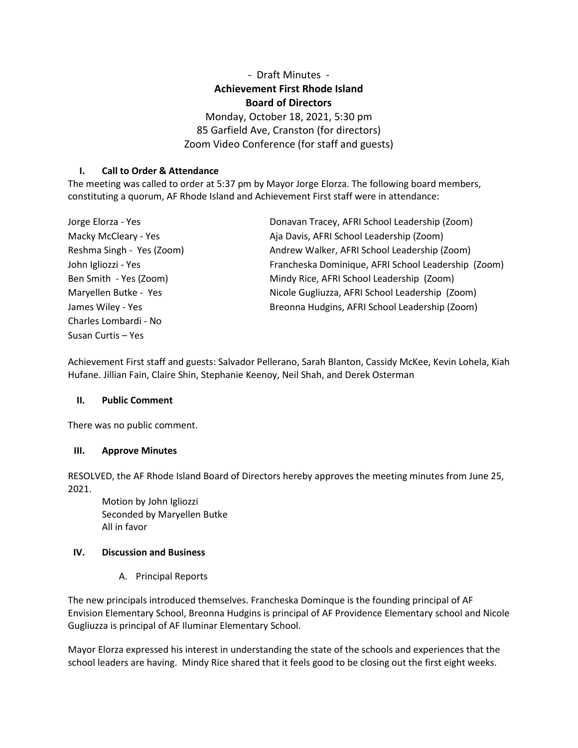# - Draft Minutes - **Achievement First Rhode Island Board of Directors**

Monday, October 18, 2021, 5:30 pm 85 Garfield Ave, Cranston (for directors) Zoom Video Conference (for staff and guests)

### **I. Call to Order & Attendance**

The meeting was called to order at 5:37 pm by Mayor Jorge Elorza. The following board members, constituting a quorum, AF Rhode Island and Achievement First staff were in attendance:

| Jorge Elorza - Yes        | Donavan Tracey, AFRI School Leadership (Zoom)       |
|---------------------------|-----------------------------------------------------|
| Macky McCleary - Yes      | Aja Davis, AFRI School Leadership (Zoom)            |
| Reshma Singh - Yes (Zoom) | Andrew Walker, AFRI School Leadership (Zoom)        |
| John Igliozzi - Yes       | Francheska Dominique, AFRI School Leadership (Zoom) |
| Ben Smith - Yes (Zoom)    | Mindy Rice, AFRI School Leadership (Zoom)           |
| Maryellen Butke - Yes     | Nicole Gugliuzza, AFRI School Leadership (Zoom)     |
| James Wiley - Yes         | Breonna Hudgins, AFRI School Leadership (Zoom)      |
| Charles Lombardi - No     |                                                     |
| Susan Curtis – Yes        |                                                     |

Achievement First staff and guests: Salvador Pellerano, Sarah Blanton, Cassidy McKee, Kevin Lohela, Kiah Hufane. Jillian Fain, Claire Shin, Stephanie Keenoy, Neil Shah, and Derek Osterman

#### **II. Public Comment**

There was no public comment.

#### **III. Approve Minutes**

RESOLVED, the AF Rhode Island Board of Directors hereby approves the meeting minutes from June 25, 2021.

Motion by John Igliozzi Seconded by Maryellen Butke All in favor

#### **IV. Discussion and Business**

A. Principal Reports

The new principals introduced themselves. Francheska Dominque is the founding principal of AF Envision Elementary School, Breonna Hudgins is principal of AF Providence Elementary school and Nicole Gugliuzza is principal of AF Iluminar Elementary School.

Mayor Elorza expressed his interest in understanding the state of the schools and experiences that the school leaders are having. Mindy Rice shared that it feels good to be closing out the first eight weeks.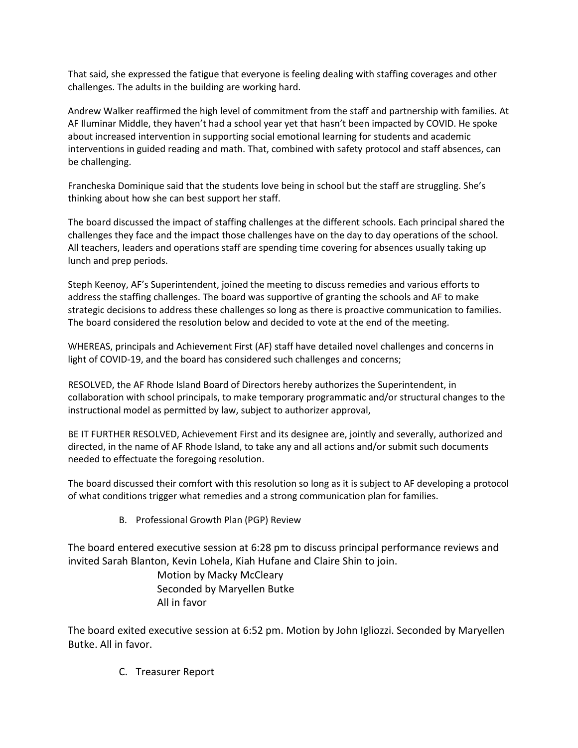That said, she expressed the fatigue that everyone is feeling dealing with staffing coverages and other challenges. The adults in the building are working hard.

Andrew Walker reaffirmed the high level of commitment from the staff and partnership with families. At AF Iluminar Middle, they haven't had a school year yet that hasn't been impacted by COVID. He spoke about increased intervention in supporting social emotional learning for students and academic interventions in guided reading and math. That, combined with safety protocol and staff absences, can be challenging.

Francheska Dominique said that the students love being in school but the staff are struggling. She's thinking about how she can best support her staff.

The board discussed the impact of staffing challenges at the different schools. Each principal shared the challenges they face and the impact those challenges have on the day to day operations of the school. All teachers, leaders and operations staff are spending time covering for absences usually taking up lunch and prep periods.

Steph Keenoy, AF's Superintendent, joined the meeting to discuss remedies and various efforts to address the staffing challenges. The board was supportive of granting the schools and AF to make strategic decisions to address these challenges so long as there is proactive communication to families. The board considered the resolution below and decided to vote at the end of the meeting.

WHEREAS, principals and Achievement First (AF) staff have detailed novel challenges and concerns in light of COVID-19, and the board has considered such challenges and concerns;

RESOLVED, the AF Rhode Island Board of Directors hereby authorizes the Superintendent, in collaboration with school principals, to make temporary programmatic and/or structural changes to the instructional model as permitted by law, subject to authorizer approval,

BE IT FURTHER RESOLVED, Achievement First and its designee are, jointly and severally, authorized and directed, in the name of AF Rhode Island, to take any and all actions and/or submit such documents needed to effectuate the foregoing resolution.

The board discussed their comfort with this resolution so long as it is subject to AF developing a protocol of what conditions trigger what remedies and a strong communication plan for families.

B. Professional Growth Plan (PGP) Review

The board entered executive session at 6:28 pm to discuss principal performance reviews and invited Sarah Blanton, Kevin Lohela, Kiah Hufane and Claire Shin to join.

> Motion by Macky McCleary Seconded by Maryellen Butke All in favor

The board exited executive session at 6:52 pm. Motion by John Igliozzi. Seconded by Maryellen Butke. All in favor.

C. Treasurer Report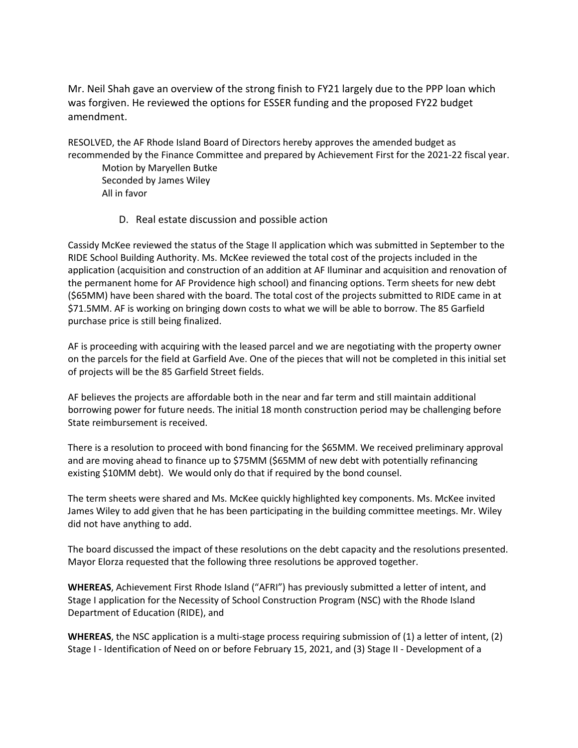Mr. Neil Shah gave an overview of the strong finish to FY21 largely due to the PPP loan which was forgiven. He reviewed the options for ESSER funding and the proposed FY22 budget amendment.

RESOLVED, the AF Rhode Island Board of Directors hereby approves the amended budget as recommended by the Finance Committee and prepared by Achievement First for the 2021-22 fiscal year.

Motion by Maryellen Butke Seconded by James Wiley All in favor

D. Real estate discussion and possible action

Cassidy McKee reviewed the status of the Stage II application which was submitted in September to the RIDE School Building Authority. Ms. McKee reviewed the total cost of the projects included in the application (acquisition and construction of an addition at AF Iluminar and acquisition and renovation of the permanent home for AF Providence high school) and financing options. Term sheets for new debt (\$65MM) have been shared with the board. The total cost of the projects submitted to RIDE came in at \$71.5MM. AF is working on bringing down costs to what we will be able to borrow. The 85 Garfield purchase price is still being finalized.

AF is proceeding with acquiring with the leased parcel and we are negotiating with the property owner on the parcels for the field at Garfield Ave. One of the pieces that will not be completed in this initial set of projects will be the 85 Garfield Street fields.

AF believes the projects are affordable both in the near and far term and still maintain additional borrowing power for future needs. The initial 18 month construction period may be challenging before State reimbursement is received.

There is a resolution to proceed with bond financing for the \$65MM. We received preliminary approval and are moving ahead to finance up to \$75MM (\$65MM of new debt with potentially refinancing existing \$10MM debt). We would only do that if required by the bond counsel.

The term sheets were shared and Ms. McKee quickly highlighted key components. Ms. McKee invited James Wiley to add given that he has been participating in the building committee meetings. Mr. Wiley did not have anything to add.

The board discussed the impact of these resolutions on the debt capacity and the resolutions presented. Mayor Elorza requested that the following three resolutions be approved together.

**WHEREAS**, Achievement First Rhode Island ("AFRI") has previously submitted a letter of intent, and Stage I application for the Necessity of School Construction Program (NSC) with the Rhode Island Department of Education (RIDE), and

**WHEREAS**, the NSC application is a multi-stage process requiring submission of (1) a letter of intent, (2) Stage I - Identification of Need on or before February 15, 2021, and (3) Stage II - Development of a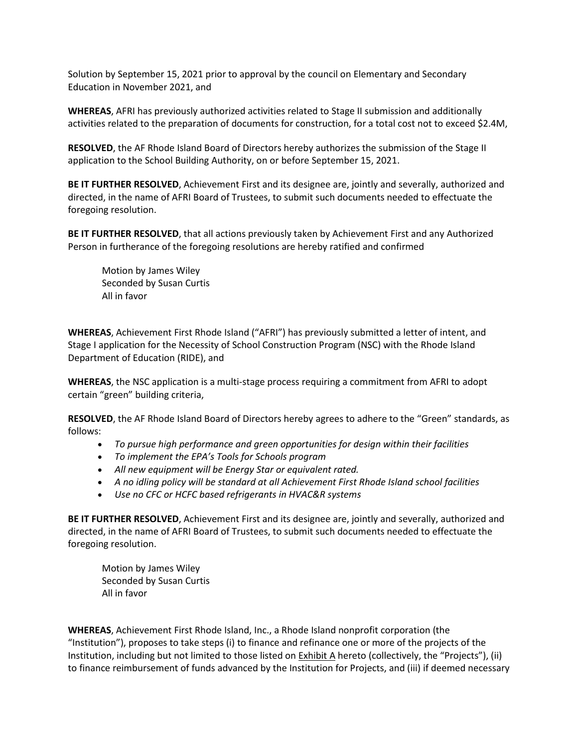Solution by September 15, 2021 prior to approval by the council on Elementary and Secondary Education in November 2021, and

**WHEREAS**, AFRI has previously authorized activities related to Stage II submission and additionally activities related to the preparation of documents for construction, for a total cost not to exceed \$2.4M,

**RESOLVED**, the AF Rhode Island Board of Directors hereby authorizes the submission of the Stage II application to the School Building Authority, on or before September 15, 2021.

**BE IT FURTHER RESOLVED**, Achievement First and its designee are, jointly and severally, authorized and directed, in the name of AFRI Board of Trustees, to submit such documents needed to effectuate the foregoing resolution.

**BE IT FURTHER RESOLVED**, that all actions previously taken by Achievement First and any Authorized Person in furtherance of the foregoing resolutions are hereby ratified and confirmed

Motion by James Wiley Seconded by Susan Curtis All in favor

**WHEREAS**, Achievement First Rhode Island ("AFRI") has previously submitted a letter of intent, and Stage I application for the Necessity of School Construction Program (NSC) with the Rhode Island Department of Education (RIDE), and

**WHEREAS**, the NSC application is a multi-stage process requiring a commitment from AFRI to adopt certain "green" building criteria,

**RESOLVED**, the AF Rhode Island Board of Directors hereby agrees to adhere to the "Green" standards, as follows:

- *To pursue high performance and green opportunities for design within their facilities*
- *To implement the EPA's Tools for Schools program*
- *All new equipment will be Energy Star or equivalent rated.*
- *A no idling policy will be standard at all Achievement First Rhode Island school facilities*
- *Use no CFC or HCFC based refrigerants in HVAC&R systems*

**BE IT FURTHER RESOLVED**, Achievement First and its designee are, jointly and severally, authorized and directed, in the name of AFRI Board of Trustees, to submit such documents needed to effectuate the foregoing resolution.

Motion by James Wiley Seconded by Susan Curtis All in favor

**WHEREAS**, Achievement First Rhode Island, Inc., a Rhode Island nonprofit corporation (the "Institution"), proposes to take steps (i) to finance and refinance one or more of the projects of the Institution, including but not limited to those listed on Exhibit A hereto (collectively, the "Projects"), (ii) to finance reimbursement of funds advanced by the Institution for Projects, and (iii) if deemed necessary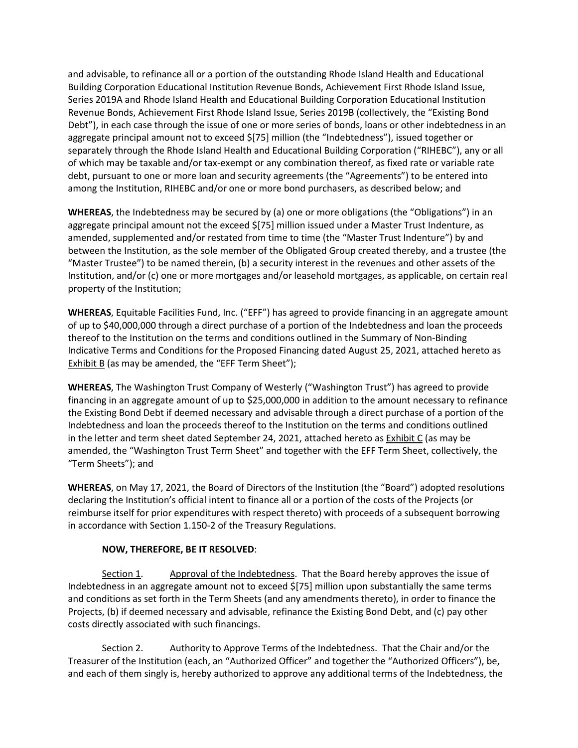and advisable, to refinance all or a portion of the outstanding Rhode Island Health and Educational Building Corporation Educational Institution Revenue Bonds, Achievement First Rhode Island Issue, Series 2019A and Rhode Island Health and Educational Building Corporation Educational Institution Revenue Bonds, Achievement First Rhode Island Issue, Series 2019B (collectively, the "Existing Bond Debt"), in each case through the issue of one or more series of bonds, loans or other indebtedness in an aggregate principal amount not to exceed \$[75] million (the "Indebtedness"), issued together or separately through the Rhode Island Health and Educational Building Corporation ("RIHEBC"), any or all of which may be taxable and/or tax-exempt or any combination thereof, as fixed rate or variable rate debt, pursuant to one or more loan and security agreements (the "Agreements") to be entered into among the Institution, RIHEBC and/or one or more bond purchasers, as described below; and

**WHEREAS**, the Indebtedness may be secured by (a) one or more obligations (the "Obligations") in an aggregate principal amount not the exceed \$[75] million issued under a Master Trust Indenture, as amended, supplemented and/or restated from time to time (the "Master Trust Indenture") by and between the Institution, as the sole member of the Obligated Group created thereby, and a trustee (the "Master Trustee") to be named therein, (b) a security interest in the revenues and other assets of the Institution, and/or (c) one or more mortgages and/or leasehold mortgages, as applicable, on certain real property of the Institution;

**WHEREAS**, Equitable Facilities Fund, Inc. ("EFF") has agreed to provide financing in an aggregate amount of up to \$40,000,000 through a direct purchase of a portion of the Indebtedness and loan the proceeds thereof to the Institution on the terms and conditions outlined in the Summary of Non-Binding Indicative Terms and Conditions for the Proposed Financing dated August 25, 2021, attached hereto as Exhibit B (as may be amended, the "EFF Term Sheet");

**WHEREAS**, The Washington Trust Company of Westerly ("Washington Trust") has agreed to provide financing in an aggregate amount of up to \$25,000,000 in addition to the amount necessary to refinance the Existing Bond Debt if deemed necessary and advisable through a direct purchase of a portion of the Indebtedness and loan the proceeds thereof to the Institution on the terms and conditions outlined in the letter and term sheet dated September 24, 2021, attached hereto as Exhibit C (as may be amended, the "Washington Trust Term Sheet" and together with the EFF Term Sheet, collectively, the "Term Sheets"); and

**WHEREAS**, on May 17, 2021, the Board of Directors of the Institution (the "Board") adopted resolutions declaring the Institution's official intent to finance all or a portion of the costs of the Projects (or reimburse itself for prior expenditures with respect thereto) with proceeds of a subsequent borrowing in accordance with Section 1.150-2 of the Treasury Regulations.

#### **NOW, THEREFORE, BE IT RESOLVED**:

Section 1. Approval of the Indebtedness. That the Board hereby approves the issue of Indebtedness in an aggregate amount not to exceed \$[75] million upon substantially the same terms and conditions as set forth in the Term Sheets (and any amendments thereto), in order to finance the Projects, (b) if deemed necessary and advisable, refinance the Existing Bond Debt, and (c) pay other costs directly associated with such financings.

 Section 2. Authority to Approve Terms of the Indebtedness. That the Chair and/or the Treasurer of the Institution (each, an "Authorized Officer" and together the "Authorized Officers"), be, and each of them singly is, hereby authorized to approve any additional terms of the Indebtedness, the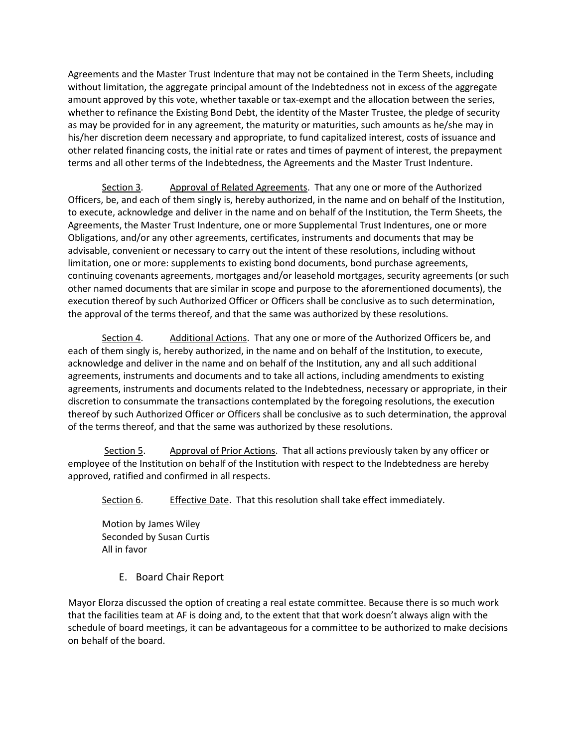Agreements and the Master Trust Indenture that may not be contained in the Term Sheets, including without limitation, the aggregate principal amount of the Indebtedness not in excess of the aggregate amount approved by this vote, whether taxable or tax-exempt and the allocation between the series, whether to refinance the Existing Bond Debt, the identity of the Master Trustee, the pledge of security as may be provided for in any agreement, the maturity or maturities, such amounts as he/she may in his/her discretion deem necessary and appropriate, to fund capitalized interest, costs of issuance and other related financing costs, the initial rate or rates and times of payment of interest, the prepayment terms and all other terms of the Indebtedness, the Agreements and the Master Trust Indenture.

Section 3. Approval of Related Agreements. That any one or more of the Authorized Officers, be, and each of them singly is, hereby authorized, in the name and on behalf of the Institution, to execute, acknowledge and deliver in the name and on behalf of the Institution, the Term Sheets, the Agreements, the Master Trust Indenture, one or more Supplemental Trust Indentures, one or more Obligations, and/or any other agreements, certificates, instruments and documents that may be advisable, convenient or necessary to carry out the intent of these resolutions, including without limitation, one or more: supplements to existing bond documents, bond purchase agreements, continuing covenants agreements, mortgages and/or leasehold mortgages, security agreements (or such other named documents that are similar in scope and purpose to the aforementioned documents), the execution thereof by such Authorized Officer or Officers shall be conclusive as to such determination, the approval of the terms thereof, and that the same was authorized by these resolutions.

Section 4. Additional Actions. That any one or more of the Authorized Officers be, and each of them singly is, hereby authorized, in the name and on behalf of the Institution, to execute, acknowledge and deliver in the name and on behalf of the Institution, any and all such additional agreements, instruments and documents and to take all actions, including amendments to existing agreements, instruments and documents related to the Indebtedness, necessary or appropriate, in their discretion to consummate the transactions contemplated by the foregoing resolutions, the execution thereof by such Authorized Officer or Officers shall be conclusive as to such determination, the approval of the terms thereof, and that the same was authorized by these resolutions.

Section 5. Approval of Prior Actions. That all actions previously taken by any officer or employee of the Institution on behalf of the Institution with respect to the Indebtedness are hereby approved, ratified and confirmed in all respects.

Section 6. Effective Date. That this resolution shall take effect immediately.

Motion by James Wiley Seconded by Susan Curtis All in favor

E. Board Chair Report

Mayor Elorza discussed the option of creating a real estate committee. Because there is so much work that the facilities team at AF is doing and, to the extent that that work doesn't always align with the schedule of board meetings, it can be advantageous for a committee to be authorized to make decisions on behalf of the board.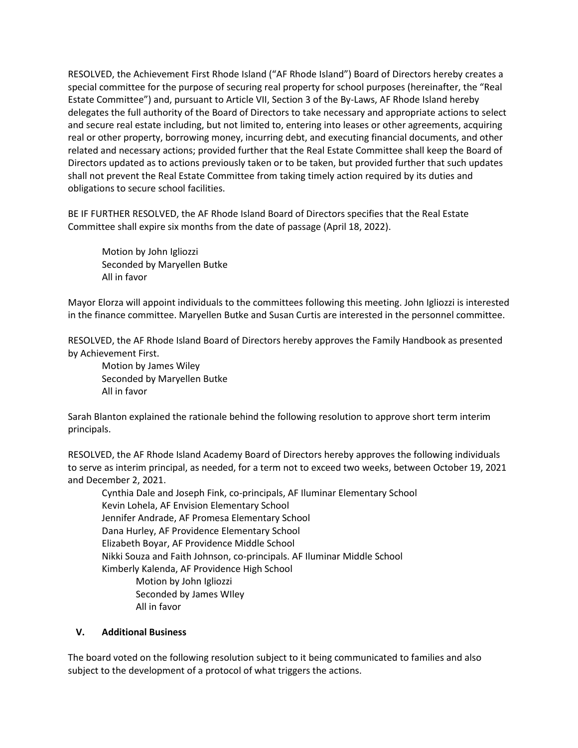RESOLVED, the Achievement First Rhode Island ("AF Rhode Island") Board of Directors hereby creates a special committee for the purpose of securing real property for school purposes (hereinafter, the "Real Estate Committee") and, pursuant to Article VII, Section 3 of the By-Laws, AF Rhode Island hereby delegates the full authority of the Board of Directors to take necessary and appropriate actions to select and secure real estate including, but not limited to, entering into leases or other agreements, acquiring real or other property, borrowing money, incurring debt, and executing financial documents, and other related and necessary actions; provided further that the Real Estate Committee shall keep the Board of Directors updated as to actions previously taken or to be taken, but provided further that such updates shall not prevent the Real Estate Committee from taking timely action required by its duties and obligations to secure school facilities.

BE IF FURTHER RESOLVED, the AF Rhode Island Board of Directors specifies that the Real Estate Committee shall expire six months from the date of passage (April 18, 2022).

Motion by John Igliozzi Seconded by Maryellen Butke All in favor

Mayor Elorza will appoint individuals to the committees following this meeting. John Igliozzi is interested in the finance committee. Maryellen Butke and Susan Curtis are interested in the personnel committee.

RESOLVED, the AF Rhode Island Board of Directors hereby approves the Family Handbook as presented by Achievement First.

Motion by James Wiley Seconded by Maryellen Butke All in favor

Sarah Blanton explained the rationale behind the following resolution to approve short term interim principals.

RESOLVED, the AF Rhode Island Academy Board of Directors hereby approves the following individuals to serve as interim principal, as needed, for a term not to exceed two weeks, between October 19, 2021 and December 2, 2021.

Cynthia Dale and Joseph Fink, co-principals, AF Iluminar Elementary School Kevin Lohela, AF Envision Elementary School Jennifer Andrade, AF Promesa Elementary School Dana Hurley, AF Providence Elementary School Elizabeth Boyar, AF Providence Middle School Nikki Souza and Faith Johnson, co-principals. AF Iluminar Middle School Kimberly Kalenda, AF Providence High School Motion by John Igliozzi Seconded by James WIley All in favor

## **V. Additional Business**

The board voted on the following resolution subject to it being communicated to families and also subject to the development of a protocol of what triggers the actions.